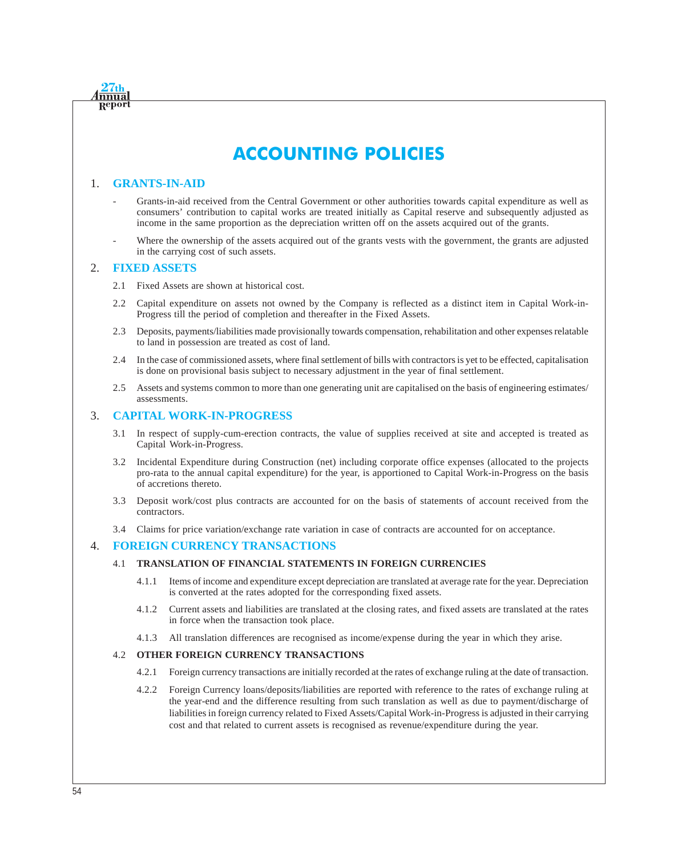# **ACCOUNTING POLICIES**

# 1. **GRANTS-IN-AID**

**nnua** Ret

- Grants-in-aid received from the Central Government or other authorities towards capital expenditure as well as consumers' contribution to capital works are treated initially as Capital reserve and subsequently adjusted as income in the same proportion as the depreciation written off on the assets acquired out of the grants.
- Where the ownership of the assets acquired out of the grants vests with the government, the grants are adjusted in the carrying cost of such assets.

# 2. **FIXED ASSETS**

- 2.1 Fixed Assets are shown at historical cost.
- 2.2 Capital expenditure on assets not owned by the Company is reflected as a distinct item in Capital Work-in-Progress till the period of completion and thereafter in the Fixed Assets.
- 2.3 Deposits, payments/liabilities made provisionally towards compensation, rehabilitation and other expenses relatable to land in possession are treated as cost of land.
- 2.4 In the case of commissioned assets, where final settlement of bills with contractors is yet to be effected, capitalisation is done on provisional basis subject to necessary adjustment in the year of final settlement.
- 2.5 Assets and systems common to more than one generating unit are capitalised on the basis of engineering estimates/ assessments.

# 3. **CAPITAL WORK-IN-PROGRESS**

- 3.1 In respect of supply-cum-erection contracts, the value of supplies received at site and accepted is treated as Capital Work-in-Progress.
- 3.2 Incidental Expenditure during Construction (net) including corporate office expenses (allocated to the projects pro-rata to the annual capital expenditure) for the year, is apportioned to Capital Work-in-Progress on the basis of accretions thereto.
- 3.3 Deposit work/cost plus contracts are accounted for on the basis of statements of account received from the contractors.
- 3.4 Claims for price variation/exchange rate variation in case of contracts are accounted for on acceptance.

# 4. **FOREIGN CURRENCY TRANSACTIONS**

# 4.1 **TRANSLATION OF FINANCIAL STATEMENTS IN FOREIGN CURRENCIES**

- 4.1.1 Items of income and expenditure except depreciation are translated at average rate for the year. Depreciation is converted at the rates adopted for the corresponding fixed assets.
- 4.1.2 Current assets and liabilities are translated at the closing rates, and fixed assets are translated at the rates in force when the transaction took place.
- 4.1.3 All translation differences are recognised as income/expense during the year in which they arise.

## 4.2 **OTHER FOREIGN CURRENCY TRANSACTIONS**

- 4.2.1 Foreign currency transactions are initially recorded at the rates of exchange ruling at the date of transaction.
- 4.2.2 Foreign Currency loans/deposits/liabilities are reported with reference to the rates of exchange ruling at the year-end and the difference resulting from such translation as well as due to payment/discharge of liabilities in foreign currency related to Fixed Assets/Capital Work-in-Progress is adjusted in their carrying cost and that related to current assets is recognised as revenue/expenditure during the year.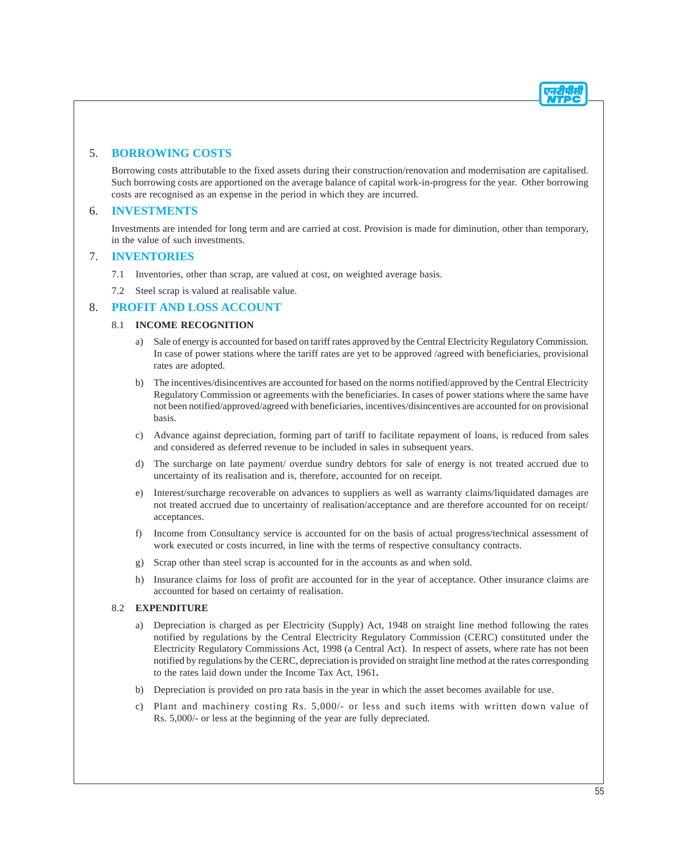# 5. **BORROWING COSTS**

Borrowing costs attributable to the fixed assets during their construction/renovation and modernisation are capitalised. Such borrowing costs are apportioned on the average balance of capital work-in-progress for the year. Other borrowing costs are recognised as an expense in the period in which they are incurred.

# 6. **INVESTMENTS**

Investments are intended for long term and are carried at cost. Provision is made for diminution, other than temporary, in the value of such investments.

# 7. **INVENTORIES**

- 7.1 Inventories, other than scrap, are valued at cost, on weighted average basis.
- 7.2 Steel scrap is valued at realisable value.

# 8. **PROFIT AND LOSS ACCOUNT**

# 8.1 **INCOME RECOGNITION**

- a) Sale of energy is accounted for based on tariff rates approved by the Central Electricity Regulatory Commission. In case of power stations where the tariff rates are yet to be approved /agreed with beneficiaries, provisional rates are adopted.
- b) The incentives/disincentives are accounted for based on the norms notified/approved by the Central Electricity Regulatory Commission or agreements with the beneficiaries. In cases of power stations where the same have not been notified/approved/agreed with beneficiaries, incentives/disincentives are accounted for on provisional basis.
- c) Advance against depreciation, forming part of tariff to facilitate repayment of loans, is reduced from sales and considered as deferred revenue to be included in sales in subsequent years.
- d) The surcharge on late payment/ overdue sundry debtors for sale of energy is not treated accrued due to uncertainty of its realisation and is, therefore, accounted for on receipt.
- e) Interest/surcharge recoverable on advances to suppliers as well as warranty claims/liquidated damages are not treated accrued due to uncertainty of realisation/acceptance and are therefore accounted for on receipt/ acceptances.
- f) Income from Consultancy service is accounted for on the basis of actual progress/technical assessment of work executed or costs incurred, in line with the terms of respective consultancy contracts.
- g) Scrap other than steel scrap is accounted for in the accounts as and when sold.
- h) Insurance claims for loss of profit are accounted for in the year of acceptance. Other insurance claims are accounted for based on certainty of realisation.

# 8.2 **EXPENDITURE**

- a) Depreciation is charged as per Electricity (Supply) Act, 1948 on straight line method following the rates notified by regulations by the Central Electricity Regulatory Commission (CERC) constituted under the Electricity Regulatory Commissions Act, 1998 (a Central Act). In respect of assets, where rate has not been notified by regulations by the CERC, depreciation is provided on straight line method at the rates corresponding to the rates laid down under the Income Tax Act, 1961**.**
- b) Depreciation is provided on pro rata basis in the year in which the asset becomes available for use.
- c) Plant and machinery costing Rs. 5,000/- or less and such items with written down value of Rs. 5,000/- or less at the beginning of the year are fully depreciated.